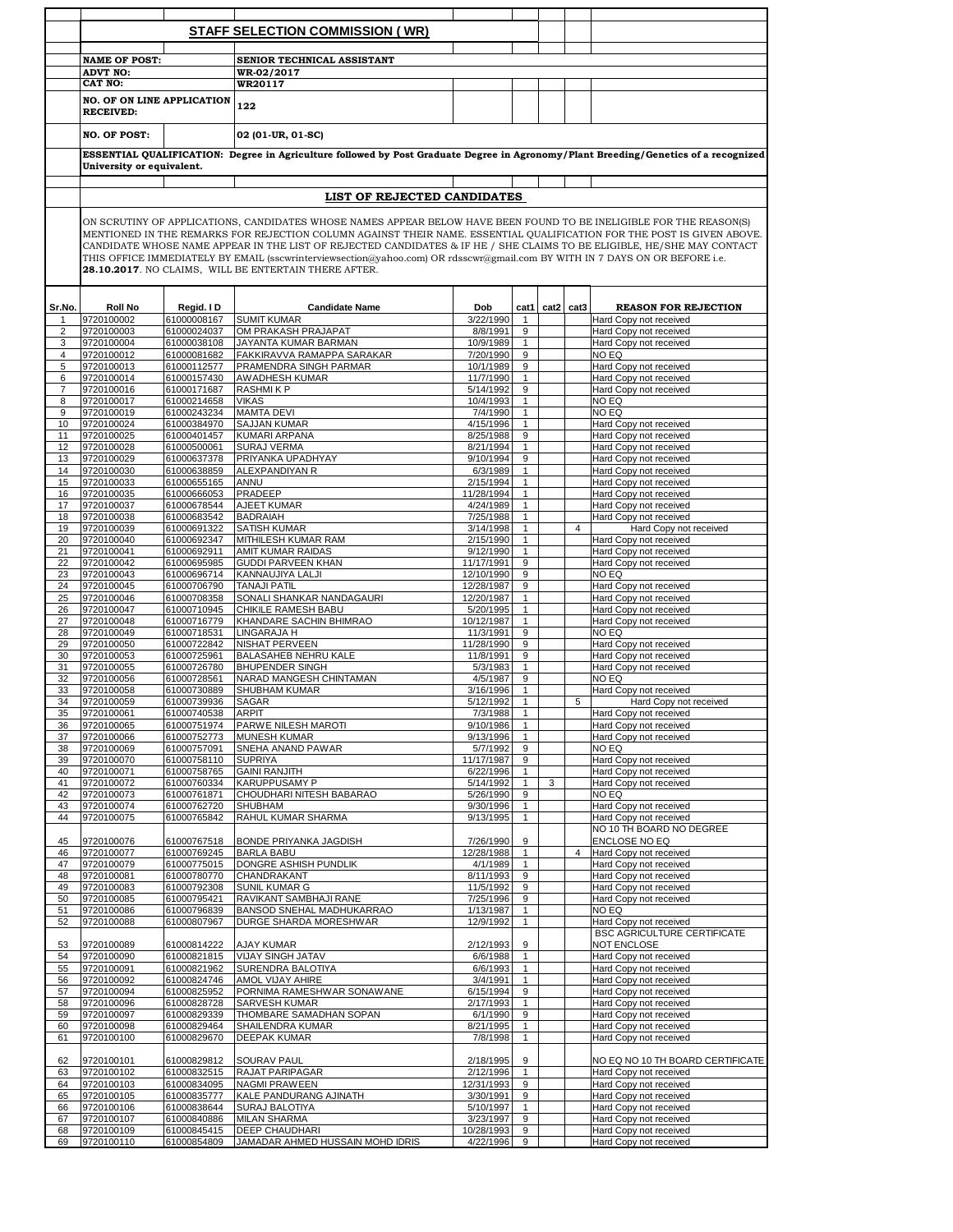|                     |                                                                                                                                                                  |                            | <b>STAFF SELECTION COMMISSION (WR)</b>                                                                                                                                               |                          |                              |   |                |                                                              |  |  |  |  |
|---------------------|------------------------------------------------------------------------------------------------------------------------------------------------------------------|----------------------------|--------------------------------------------------------------------------------------------------------------------------------------------------------------------------------------|--------------------------|------------------------------|---|----------------|--------------------------------------------------------------|--|--|--|--|
|                     |                                                                                                                                                                  |                            |                                                                                                                                                                                      |                          |                              |   |                |                                                              |  |  |  |  |
|                     | <b>NAME OF POST:</b>                                                                                                                                             |                            | SENIOR TECHNICAL ASSISTANT                                                                                                                                                           |                          |                              |   |                |                                                              |  |  |  |  |
|                     | <b>ADVT NO:</b>                                                                                                                                                  |                            | WR-02/2017                                                                                                                                                                           |                          |                              |   |                |                                                              |  |  |  |  |
|                     | <b>CAT NO:</b>                                                                                                                                                   |                            | WR20117                                                                                                                                                                              |                          |                              |   |                |                                                              |  |  |  |  |
|                     | <b>NO. OF ON LINE APPLICATION</b>                                                                                                                                |                            | 122                                                                                                                                                                                  |                          |                              |   |                |                                                              |  |  |  |  |
|                     | <b>RECEIVED:</b>                                                                                                                                                 |                            |                                                                                                                                                                                      |                          |                              |   |                |                                                              |  |  |  |  |
|                     | <b>NO. OF POST:</b>                                                                                                                                              |                            | 02 (01-UR, 01-SC)                                                                                                                                                                    |                          |                              |   |                |                                                              |  |  |  |  |
|                     | ESSENTIAL QUALIFICATION: Degree in Agriculture followed by Post Graduate Degree in Agronomy/Plant Breeding/Genetics of a recognized<br>University or equivalent. |                            |                                                                                                                                                                                      |                          |                              |   |                |                                                              |  |  |  |  |
|                     |                                                                                                                                                                  |                            |                                                                                                                                                                                      |                          |                              |   |                |                                                              |  |  |  |  |
|                     |                                                                                                                                                                  |                            | LIST OF REJECTED CANDIDATES                                                                                                                                                          |                          |                              |   |                |                                                              |  |  |  |  |
|                     |                                                                                                                                                                  |                            | ON SCRUTINY OF APPLICATIONS, CANDIDATES WHOSE NAMES APPEAR BELOW HAVE BEEN FOUND TO BE INELIGIBLE FOR THE REASON(S)                                                                  |                          |                              |   |                |                                                              |  |  |  |  |
|                     |                                                                                                                                                                  |                            | MENTIONED IN THE REMARKS FOR REJECTION COLUMN AGAINST THEIR NAME. ESSENTIAL QUALIFICATION FOR THE POST IS GIVEN ABOVE.                                                               |                          |                              |   |                |                                                              |  |  |  |  |
|                     | CANDIDATE WHOSE NAME APPEAR IN THE LIST OF REJECTED CANDIDATES & IF HE / SHE CLAIMS TO BE ELIGIBLE, HE/SHE MAY CONTACT                                           |                            |                                                                                                                                                                                      |                          |                              |   |                |                                                              |  |  |  |  |
|                     |                                                                                                                                                                  |                            | THIS OFFICE IMMEDIATELY BY EMAIL (sscwrinterviewsection@yahoo.com) OR rdsscwr@gmail.com BY WITH IN 7 DAYS ON OR BEFORE i.e.<br>28.10.2017. NO CLAIMS, WILL BE ENTERTAIN THERE AFTER. |                          |                              |   |                |                                                              |  |  |  |  |
|                     |                                                                                                                                                                  |                            |                                                                                                                                                                                      |                          |                              |   |                |                                                              |  |  |  |  |
|                     |                                                                                                                                                                  |                            |                                                                                                                                                                                      |                          |                              |   |                |                                                              |  |  |  |  |
| Sr.No.              | <b>Roll No</b>                                                                                                                                                   | Regid. I D                 | <b>Candidate Name</b>                                                                                                                                                                | Dob                      | cat1                         |   | cat2 cat3      | <b>REASON FOR REJECTION</b>                                  |  |  |  |  |
| 1                   | 9720100002                                                                                                                                                       | 61000008167                | <b>SUMIT KUMAR</b>                                                                                                                                                                   | 3/22/1990<br>8/8/1991    | 1<br>9                       |   |                | Hard Copy not received<br>Hard Copy not received             |  |  |  |  |
| $\overline{2}$<br>3 | 9720100003<br>9720100004                                                                                                                                         | 61000024037<br>61000038108 | OM PRAKASH PRAJAPAT<br>JAYANTA KUMAR BARMAN                                                                                                                                          | 10/9/1989                | $\mathbf{1}$                 |   |                | Hard Copy not received                                       |  |  |  |  |
| $\overline{4}$      | 9720100012                                                                                                                                                       | 61000081682                | FAKKIRAVVA RAMAPPA SARAKAR                                                                                                                                                           | 7/20/1990                | 9                            |   |                | NO EQ                                                        |  |  |  |  |
| 5                   | 9720100013                                                                                                                                                       | 61000112577                | PRAMENDRA SINGH PARMAR                                                                                                                                                               | 10/1/1989                | 9                            |   |                | Hard Copy not received                                       |  |  |  |  |
| 6                   | 9720100014                                                                                                                                                       | 61000157430                | AWADHESH KUMAR                                                                                                                                                                       | 11/7/1990                | $\mathbf{1}$                 |   |                | Hard Copy not received                                       |  |  |  |  |
| 7                   | 9720100016                                                                                                                                                       | 61000171687                | <b>RASHMIKP</b>                                                                                                                                                                      | 5/14/1992                | 9                            |   |                | Hard Copy not received                                       |  |  |  |  |
| 8                   | 9720100017                                                                                                                                                       | 61000214658<br>61000243234 | <b>VIKAS</b>                                                                                                                                                                         | 10/4/1993                | $\mathbf{1}$                 |   |                | NO EQ<br>NO EQ                                               |  |  |  |  |
| 9<br>10             | 9720100019<br>9720100024                                                                                                                                         | 61000384970                | <b>MAMTA DEVI</b><br><b>SAJJAN KUMAR</b>                                                                                                                                             | 7/4/1990<br>4/15/1996    | $\mathbf{1}$<br>$\mathbf{1}$ |   |                | Hard Copy not received                                       |  |  |  |  |
| 11                  | 9720100025                                                                                                                                                       | 61000401457                | KUMARI ARPANA                                                                                                                                                                        | 8/25/1988                | 9                            |   |                | Hard Copy not received                                       |  |  |  |  |
| 12                  | 9720100028                                                                                                                                                       | 61000500061                | <b>SURAJ VERMA</b>                                                                                                                                                                   | 8/21/1994                | $\mathbf{1}$                 |   |                | Hard Copy not received                                       |  |  |  |  |
| 13                  | 9720100029                                                                                                                                                       | 61000637378                | PRIYANKA UPADHYAY                                                                                                                                                                    | 9/10/1994                | 9                            |   |                | Hard Copy not received                                       |  |  |  |  |
| 14                  | 9720100030                                                                                                                                                       | 61000638859                | ALEXPANDIYAN R                                                                                                                                                                       | 6/3/1989                 | $\mathbf{1}$                 |   |                | Hard Copy not received                                       |  |  |  |  |
| 15                  | 9720100033                                                                                                                                                       | 61000655165                | ANNU                                                                                                                                                                                 | 2/15/1994                | $\mathbf{1}$                 |   |                | Hard Copy not received                                       |  |  |  |  |
| 16<br>17            | 9720100035<br>9720100037                                                                                                                                         | 61000666053<br>61000678544 | PRADEEP<br>AJEET KUMAR                                                                                                                                                               | 11/28/1994<br>4/24/1989  | $\mathbf{1}$<br>$\mathbf{1}$ |   |                | Hard Copy not received<br>Hard Copy not received             |  |  |  |  |
| 18                  | 9720100038                                                                                                                                                       | 61000683542                | <b>BADRAIAH</b>                                                                                                                                                                      | 7/25/1988                | $\mathbf{1}$                 |   |                | Hard Copy not received                                       |  |  |  |  |
| 19                  | 9720100039                                                                                                                                                       | 61000691322                | SATISH KUMAR                                                                                                                                                                         | 3/14/1998                | $\mathbf{1}$                 |   | $\overline{4}$ | Hard Copy not received                                       |  |  |  |  |
| 20                  | 9720100040                                                                                                                                                       | 61000692347                | MITHILESH KUMAR RAM                                                                                                                                                                  | 2/15/1990                | $\mathbf{1}$                 |   |                | Hard Copy not received                                       |  |  |  |  |
| 21                  | 9720100041                                                                                                                                                       | 61000692911                | AMIT KUMAR RAIDAS                                                                                                                                                                    | 9/12/1990                | $\mathbf{1}$                 |   |                | Hard Copy not received                                       |  |  |  |  |
| 22                  | 9720100042                                                                                                                                                       | 61000695985                | <b>GUDDI PARVEEN KHAN</b>                                                                                                                                                            | 11/17/1991<br>12/10/1990 | 9<br>9                       |   |                | Hard Copy not received<br>NO EQ                              |  |  |  |  |
| 23<br>24            | 9720100043<br>9720100045                                                                                                                                         | 61000696714<br>61000706790 | KANNAUJIYA LALJI<br><b>TANAJI PATIL</b>                                                                                                                                              | 12/28/1987               | 9                            |   |                | Hard Copy not received                                       |  |  |  |  |
| 25                  | 9720100046                                                                                                                                                       | 61000708358                | SONALI SHANKAR NANDAGAURI                                                                                                                                                            | 12/20/1987               | $\mathbf{1}$                 |   |                | Hard Copy not received                                       |  |  |  |  |
| 26                  | 9720100047                                                                                                                                                       | 61000710945                | CHIKILE RAMESH BABU                                                                                                                                                                  | 5/20/1995                | $\mathbf{1}$                 |   |                | Hard Copy not received                                       |  |  |  |  |
| 27                  | 9720100048                                                                                                                                                       | 61000716779                | KHANDARE SACHIN BHIMRAO                                                                                                                                                              | 10/12/1987               | $\mathbf{1}$                 |   |                | Hard Copy not received                                       |  |  |  |  |
| 28                  | 9720100049                                                                                                                                                       | 61000718531                | LINGARAJA H                                                                                                                                                                          | 11/3/1991                | 9                            |   |                | NO EQ                                                        |  |  |  |  |
| 29<br>30            | 9720100050<br>9720100053                                                                                                                                         | 61000722842<br>61000725961 | NISHAT PERVEEN<br>BALASAHEB NEHRU KALE                                                                                                                                               | 11/28/1990<br>11/8/1991  | 9<br>9                       |   |                | Hard Copy not received<br>Hard Copy not received             |  |  |  |  |
| 31                  | 9720100055                                                                                                                                                       | 61000726780                | <b>BHUPENDER SINGH</b>                                                                                                                                                               | 5/3/1983                 | $\mathbf{1}$                 |   |                | Hard Copy not received                                       |  |  |  |  |
| 32                  | 9720100056                                                                                                                                                       | 61000728561                | NARAD MANGESH CHINTAMAN                                                                                                                                                              | 4/5/1987                 | 9                            |   |                | NO EQ                                                        |  |  |  |  |
| 33                  | 9720100058                                                                                                                                                       | 61000730889                | <b>SHUBHAM KUMAR</b>                                                                                                                                                                 | 3/16/1996                | $\mathbf{1}$                 |   |                | Hard Copy not received                                       |  |  |  |  |
| 34                  | 9720100059                                                                                                                                                       | 61000739936                | SAGAR<br><b>ARPIT</b>                                                                                                                                                                | 5/12/1992<br>7/3/1988    | $\mathbf{1}$                 |   | 5              | Hard Copy not received<br>Hard Copy not received             |  |  |  |  |
| 35<br>36            | 9720100061<br>9720100065                                                                                                                                         | 61000740538<br>61000751974 | PARWE NILESH MAROTI                                                                                                                                                                  | 9/10/1986                | $\mathbf{1}$<br>$\mathbf{1}$ |   |                | Hard Copy not received                                       |  |  |  |  |
| 37                  | 9720100066                                                                                                                                                       | 61000752773                | <b>MUNESH KUMAR</b>                                                                                                                                                                  | 9/13/1996                | $\mathbf{1}$                 |   |                | Hard Copy not received                                       |  |  |  |  |
| 38                  | 9720100069                                                                                                                                                       | 61000757091                | SNEHA ANAND PAWAR                                                                                                                                                                    | 5/7/1992                 | 9                            |   |                | NO EQ                                                        |  |  |  |  |
| 39                  | 9720100070                                                                                                                                                       | 61000758110                | <b>SUPRIYA</b>                                                                                                                                                                       | 11/17/1987               | 9                            |   |                | Hard Copy not received                                       |  |  |  |  |
| 40                  | 9720100071                                                                                                                                                       | 61000758765                | <b>GAINI RANJITH</b>                                                                                                                                                                 | 6/22/1996                | $\mathbf{1}$                 |   |                | Hard Copy not received                                       |  |  |  |  |
| 41<br>42            | 9720100072<br>9720100073                                                                                                                                         | 61000760334<br>61000761871 | KARUPPUSAMY P<br>CHOUDHARI NITESH BABARAO                                                                                                                                            | 5/14/1992<br>5/26/1990   | $\mathbf{1}$<br>9            | 3 |                | Hard Copy not received<br>NO EQ                              |  |  |  |  |
| 43                  | 9720100074                                                                                                                                                       | 61000762720                | SHUBHAM                                                                                                                                                                              | 9/30/1996                | $\mathbf{1}$                 |   |                | Hard Copy not received                                       |  |  |  |  |
| 44                  | 9720100075                                                                                                                                                       | 61000765842                | RAHUL KUMAR SHARMA                                                                                                                                                                   | 9/13/1995                | $\mathbf{1}$                 |   |                | Hard Copy not received                                       |  |  |  |  |
|                     |                                                                                                                                                                  |                            |                                                                                                                                                                                      |                          |                              |   |                | NO 10 TH BOARD NO DEGREE                                     |  |  |  |  |
| 45                  | 9720100076                                                                                                                                                       | 61000767518                | BONDE PRIYANKA JAGDISH                                                                                                                                                               | 7/26/1990                | 9                            |   |                | ENCLOSE NO EQ                                                |  |  |  |  |
| 46<br>47            | 9720100077<br>9720100079                                                                                                                                         | 61000769245<br>61000775015 | <b>BARLA BABU</b><br>DONGRE ASHISH PUNDLIK                                                                                                                                           | 12/28/1988<br>4/1/1989   | $\mathbf{1}$<br>$\mathbf{1}$ |   | $\overline{4}$ | Hard Copy not received<br>Hard Copy not received             |  |  |  |  |
| 48                  | 9720100081                                                                                                                                                       | 61000780770                | CHANDRAKANT                                                                                                                                                                          | 8/11/1993                | 9                            |   |                | Hard Copy not received                                       |  |  |  |  |
| 49                  | 9720100083                                                                                                                                                       | 61000792308                | SUNIL KUMAR G                                                                                                                                                                        | 11/5/1992                | 9                            |   |                | Hard Copy not received                                       |  |  |  |  |
| 50                  | 9720100085                                                                                                                                                       | 61000795421                | RAVIKANT SAMBHAJI RANE                                                                                                                                                               | 7/25/1996                | 9                            |   |                | Hard Copy not received                                       |  |  |  |  |
| 51                  | 9720100086                                                                                                                                                       | 61000796839                | BANSOD SNEHAL MADHUKARRAO                                                                                                                                                            | 1/13/1987                | $\mathbf{1}$                 |   |                | NO EQ                                                        |  |  |  |  |
| 52                  | 9720100088                                                                                                                                                       | 61000807967                | DURGE SHARDA MORESHWAR                                                                                                                                                               | 12/9/1992                | $\mathbf{1}$                 |   |                | Hard Copy not received<br><b>BSC AGRICULTURE CERTIFICATE</b> |  |  |  |  |
| 53                  | 9720100089                                                                                                                                                       | 61000814222                | <b>AJAY KUMAR</b>                                                                                                                                                                    | 2/12/1993                | 9                            |   |                | NOT ENCLOSE                                                  |  |  |  |  |
| 54                  | 9720100090                                                                                                                                                       | 61000821815                | VIJAY SINGH JATAV                                                                                                                                                                    | 6/6/1988                 | $\mathbf{1}$                 |   |                | Hard Copy not received                                       |  |  |  |  |
| 55                  | 9720100091                                                                                                                                                       | 61000821962                | SURENDRA BALOTIYA                                                                                                                                                                    | 6/6/1993                 | $\mathbf{1}$                 |   |                | Hard Copy not received                                       |  |  |  |  |
| 56                  | 9720100092                                                                                                                                                       | 61000824746                | AMOL VIJAY AHIRE                                                                                                                                                                     | 3/4/1991                 | $\mathbf{1}$                 |   |                | Hard Copy not received                                       |  |  |  |  |
| 57                  | 9720100094                                                                                                                                                       | 61000825952                | PORNIMA RAMESHWAR SONAWANE                                                                                                                                                           | 6/15/1994                | 9                            |   |                | Hard Copy not received                                       |  |  |  |  |
| 58<br>59            | 9720100096<br>9720100097                                                                                                                                         | 61000828728<br>61000829339 | <b>SARVESH KUMAR</b><br>THOMBARE SAMADHAN SOPAN                                                                                                                                      | 2/17/1993<br>6/1/1990    | $\mathbf{1}$<br>9            |   |                | Hard Copy not received<br>Hard Copy not received             |  |  |  |  |
| 60                  | 9720100098                                                                                                                                                       | 61000829464                | SHAILENDRA KUMAR                                                                                                                                                                     | 8/21/1995                | $\mathbf{1}$                 |   |                | Hard Copy not received                                       |  |  |  |  |
| 61                  | 9720100100                                                                                                                                                       | 61000829670                | DEEPAK KUMAR                                                                                                                                                                         | 7/8/1998                 | $\mathbf{1}$                 |   |                | Hard Copy not received                                       |  |  |  |  |
|                     |                                                                                                                                                                  |                            |                                                                                                                                                                                      |                          |                              |   |                |                                                              |  |  |  |  |
| 62                  | 9720100101                                                                                                                                                       | 61000829812                | SOURAV PAUL                                                                                                                                                                          | 2/18/1995                | 9                            |   |                | NO EQ NO 10 TH BOARD CERTIFICATE                             |  |  |  |  |
| 63                  | 9720100102                                                                                                                                                       | 61000832515                | <b>RAJAT PARIPAGAR</b>                                                                                                                                                               | 2/12/1996                | $\mathbf{1}$                 |   |                | Hard Copy not received                                       |  |  |  |  |
| 64<br>65            | 9720100103<br>9720100105                                                                                                                                         | 61000834095<br>61000835777 | NAGMI PRAWEEN<br>KALE PANDURANG AJINATH                                                                                                                                              | 12/31/1993<br>3/30/1991  | 9<br>9                       |   |                | Hard Copy not received<br>Hard Copy not received             |  |  |  |  |
| 66                  | 9720100106                                                                                                                                                       | 61000838644                | SURAJ BALOTIYA                                                                                                                                                                       | 5/10/1997                | $\mathbf{1}$                 |   |                | Hard Copy not received                                       |  |  |  |  |
| 67                  | 9720100107                                                                                                                                                       | 61000840886                | <b>MILAN SHARMA</b>                                                                                                                                                                  | 3/23/1997                | 9                            |   |                | Hard Copy not received                                       |  |  |  |  |
| 68                  | 9720100109                                                                                                                                                       | 61000845415                | DEEP CHAUDHARI                                                                                                                                                                       | 10/28/1993               | 9                            |   |                | Hard Copy not received                                       |  |  |  |  |
| 69                  | 9720100110                                                                                                                                                       | 61000854809                | JAMADAR AHMED HUSSAIN MOHD IDRIS                                                                                                                                                     | 4/22/1996                | 9                            |   |                | Hard Copy not received                                       |  |  |  |  |